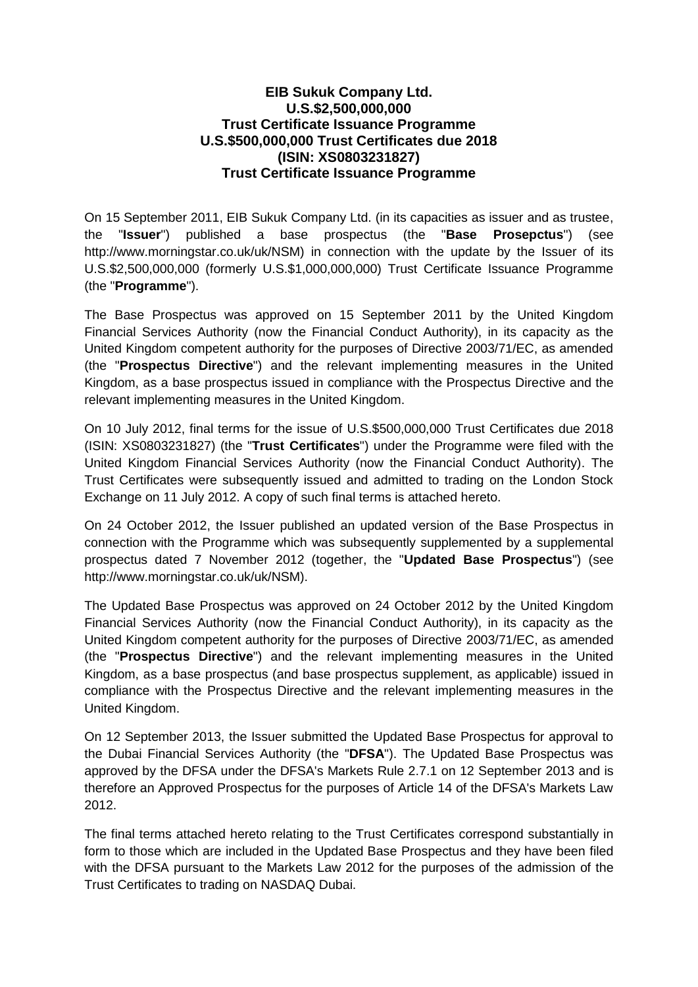# **EIB Sukuk Company Ltd. U.S.\$2,500,000,000 Trust Certificate Issuance Programme U.S.\$500,000,000 Trust Certificates due 2018 (ISIN: XS0803231827) Trust Certificate Issuance Programme**

On 15 September 2011, EIB Sukuk Company Ltd. (in its capacities as issuer and as trustee, the "**Issuer**") published a base prospectus (the "**Base Prosepctus**") (see http://www.morningstar.co.uk/uk/NSM) in connection with the update by the Issuer of its U.S.\$2,500,000,000 (formerly U.S.\$1,000,000,000) Trust Certificate Issuance Programme (the "**Programme**").

The Base Prospectus was approved on 15 September 2011 by the United Kingdom Financial Services Authority (now the Financial Conduct Authority), in its capacity as the United Kingdom competent authority for the purposes of Directive 2003/71/EC, as amended (the "**Prospectus Directive**") and the relevant implementing measures in the United Kingdom, as a base prospectus issued in compliance with the Prospectus Directive and the relevant implementing measures in the United Kingdom.

On 10 July 2012, final terms for the issue of U.S.\$500,000,000 Trust Certificates due 2018 (ISIN: XS0803231827) (the "**Trust Certificates**") under the Programme were filed with the United Kingdom Financial Services Authority (now the Financial Conduct Authority). The Trust Certificates were subsequently issued and admitted to trading on the London Stock Exchange on 11 July 2012. A copy of such final terms is attached hereto.

On 24 October 2012, the Issuer published an updated version of the Base Prospectus in connection with the Programme which was subsequently supplemented by a supplemental prospectus dated 7 November 2012 (together, the "**Updated Base Prospectus**") (see http://www.morningstar.co.uk/uk/NSM).

The Updated Base Prospectus was approved on 24 October 2012 by the United Kingdom Financial Services Authority (now the Financial Conduct Authority), in its capacity as the United Kingdom competent authority for the purposes of Directive 2003/71/EC, as amended (the "**Prospectus Directive**") and the relevant implementing measures in the United Kingdom, as a base prospectus (and base prospectus supplement, as applicable) issued in compliance with the Prospectus Directive and the relevant implementing measures in the United Kingdom.

On 12 September 2013, the Issuer submitted the Updated Base Prospectus for approval to the Dubai Financial Services Authority (the "**DFSA**"). The Updated Base Prospectus was approved by the DFSA under the DFSA's Markets Rule 2.7.1 on 12 September 2013 and is therefore an Approved Prospectus for the purposes of Article 14 of the DFSA's Markets Law 2012.

The final terms attached hereto relating to the Trust Certificates correspond substantially in form to those which are included in the Updated Base Prospectus and they have been filed with the DFSA pursuant to the Markets Law 2012 for the purposes of the admission of the Trust Certificates to trading on NASDAQ Dubai.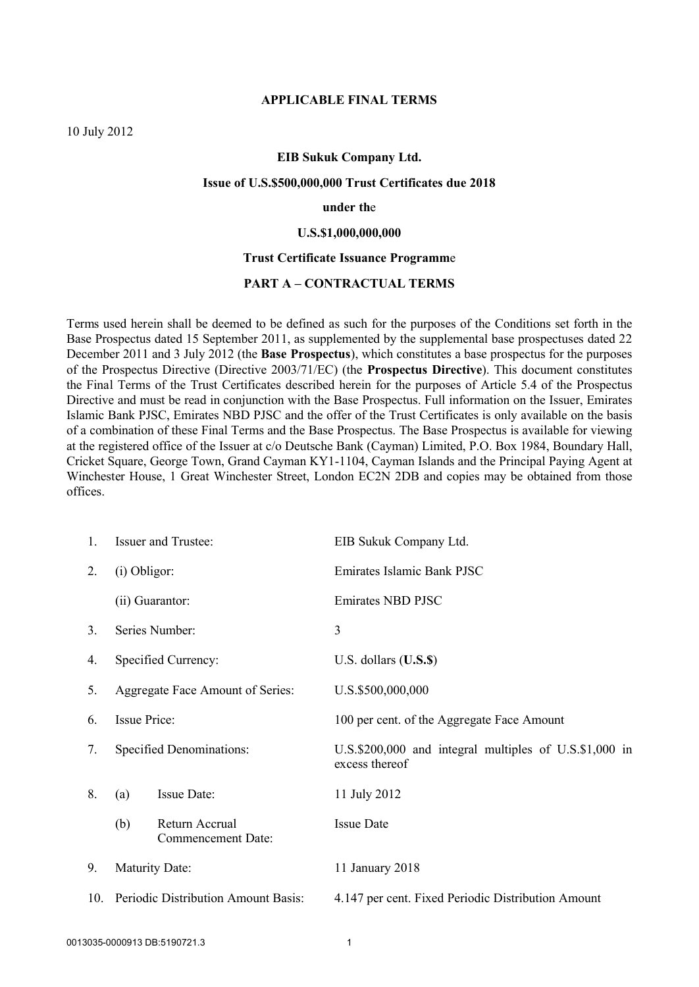### **APPLICABLE FINAL TERMS**

10 July 2012

#### **EIB Sukuk Company Ltd.**

### **Issue of U.S.\$500,000,000 Trust Certificates due 2018**

### **under th**e

### **U.S.\$1,000,000,000**

### **Trust Certificate Issuance Programm**e

### **PART A – CONTRACTUAL TERMS**

Terms used herein shall be deemed to be defined as such for the purposes of the Conditions set forth in the Base Prospectus dated 15 September 2011, as supplemented by the supplemental base prospectuses dated 22 December 2011 and 3 July 2012 (the **Base Prospectus**), which constitutes a base prospectus for the purposes of the Prospectus Directive (Directive 2003/71/EC) (the **Prospectus Directive**). This document constitutes the Final Terms of the Trust Certificates described herein for the purposes of Article 5.4 of the Prospectus Directive and must be read in conjunction with the Base Prospectus. Full information on the Issuer, Emirates Islamic Bank PJSC, Emirates NBD PJSC and the offer of the Trust Certificates is only available on the basis of a combination of these Final Terms and the Base Prospectus. The Base Prospectus is available for viewing at the registered office of the Issuer at c/o Deutsche Bank (Cayman) Limited, P.O. Box 1984, Boundary Hall, Cricket Square, George Town, Grand Cayman KY1-1104, Cayman Islands and the Principal Paying Agent at Winchester House, 1 Great Winchester Street, London EC2N 2DB and copies may be obtained from those offices.

| 1.              |                     | <b>Issuer and Trustee:</b>           | EIB Sukuk Company Ltd.                                                   |  |  |  |  |  |
|-----------------|---------------------|--------------------------------------|--------------------------------------------------------------------------|--|--|--|--|--|
| 2.              | (i) Obligor:        |                                      | Emirates Islamic Bank PJSC                                               |  |  |  |  |  |
|                 |                     | (ii) Guarantor:                      | <b>Emirates NBD PJSC</b>                                                 |  |  |  |  |  |
| 3.              |                     | Series Number:                       | 3                                                                        |  |  |  |  |  |
| 4.              |                     | Specified Currency:                  | U.S. dollars $($ U.S. $\$)$                                              |  |  |  |  |  |
| 5.              |                     | Aggregate Face Amount of Series:     | U.S.\$500,000,000                                                        |  |  |  |  |  |
| 6.              | <b>Issue Price:</b> |                                      | 100 per cent. of the Aggregate Face Amount                               |  |  |  |  |  |
| 7.              |                     | Specified Denominations:             | U.S.\$200,000 and integral multiples of U.S.\$1,000 in<br>excess thereof |  |  |  |  |  |
| 8.              | (a)                 | Issue Date:                          | 11 July 2012                                                             |  |  |  |  |  |
|                 | (b)                 | Return Accrual<br>Commencement Date: | <b>Issue Date</b>                                                        |  |  |  |  |  |
| 9.              |                     | <b>Maturity Date:</b>                | 11 January 2018                                                          |  |  |  |  |  |
| 10 <sub>l</sub> |                     | Periodic Distribution Amount Basis:  | 4.147 per cent. Fixed Periodic Distribution Amount                       |  |  |  |  |  |
|                 |                     |                                      |                                                                          |  |  |  |  |  |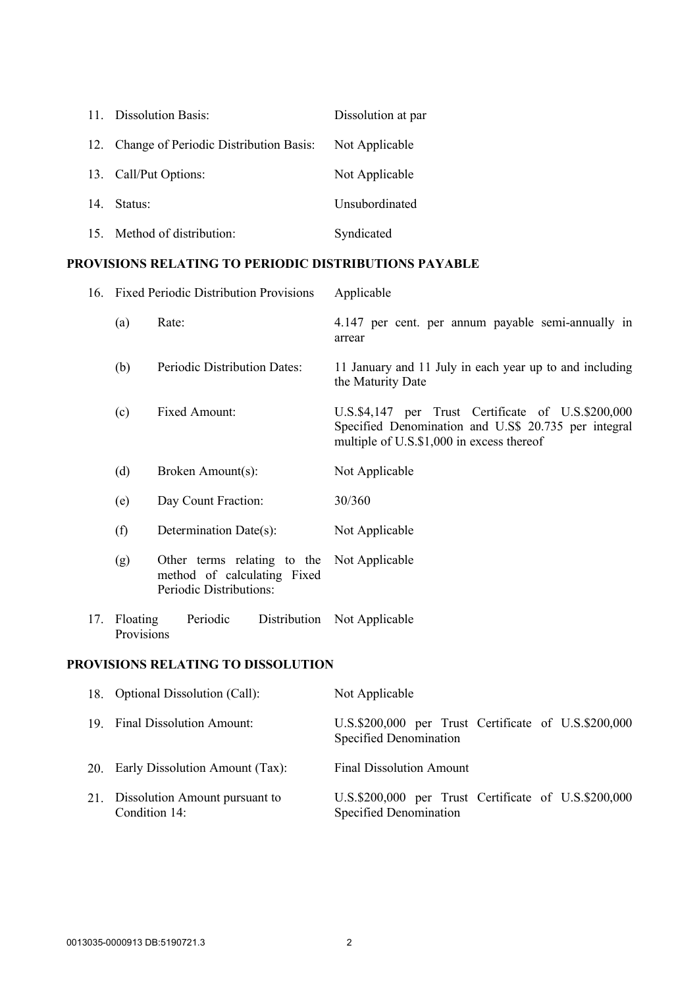| 11. Dissolution Basis:                     | Dissolution at par |
|--------------------------------------------|--------------------|
| 12. Change of Periodic Distribution Basis: | Not Applicable     |
| 13. Call/Put Options:                      | Not Applicable     |
| 14. Status:                                | Unsubordinated     |
| 15. Method of distribution:                | Syndicated         |

# **PROVISIONS RELATING TO PERIODIC DISTRIBUTIONS PAYABLE**

|     |                        | 16. Fixed Periodic Distribution Provisions                                            | Applicable                                                                                                                                              |  |  |  |  |
|-----|------------------------|---------------------------------------------------------------------------------------|---------------------------------------------------------------------------------------------------------------------------------------------------------|--|--|--|--|
|     | (a)                    | Rate:                                                                                 | 4.147 per cent. per annum payable semi-annually in<br>arrear                                                                                            |  |  |  |  |
|     | (b)                    | Periodic Distribution Dates:                                                          | 11 January and 11 July in each year up to and including<br>the Maturity Date                                                                            |  |  |  |  |
|     | (c)                    | <b>Fixed Amount:</b>                                                                  | U.S.\$4,147 per Trust Certificate of U.S.\$200,000<br>Specified Denomination and U.S\$ 20.735 per integral<br>multiple of U.S.\$1,000 in excess thereof |  |  |  |  |
|     | (d)                    | Broken Amount(s):                                                                     | Not Applicable                                                                                                                                          |  |  |  |  |
|     | (e)                    | Day Count Fraction:                                                                   | 30/360                                                                                                                                                  |  |  |  |  |
|     | (f)                    | Determination Date(s):                                                                | Not Applicable                                                                                                                                          |  |  |  |  |
|     | (g)                    | Other terms relating to the<br>method of calculating Fixed<br>Periodic Distributions: | Not Applicable                                                                                                                                          |  |  |  |  |
| 17. | Floating<br>Provisions | Periodic<br>Distribution                                                              | Not Applicable                                                                                                                                          |  |  |  |  |

# **PROVISIONS RELATING TO DISSOLUTION**

| 18. Optional Dissolution (Call):                    | Not Applicable                                                                 |
|-----------------------------------------------------|--------------------------------------------------------------------------------|
| 19. Final Dissolution Amount:                       | U.S.\$200,000 per Trust Certificate of U.S.\$200,000<br>Specified Denomination |
| 20. Early Dissolution Amount (Tax):                 | <b>Final Dissolution Amount</b>                                                |
| 21. Dissolution Amount pursuant to<br>Condition 14: | U.S.\$200,000 per Trust Certificate of U.S.\$200,000<br>Specified Denomination |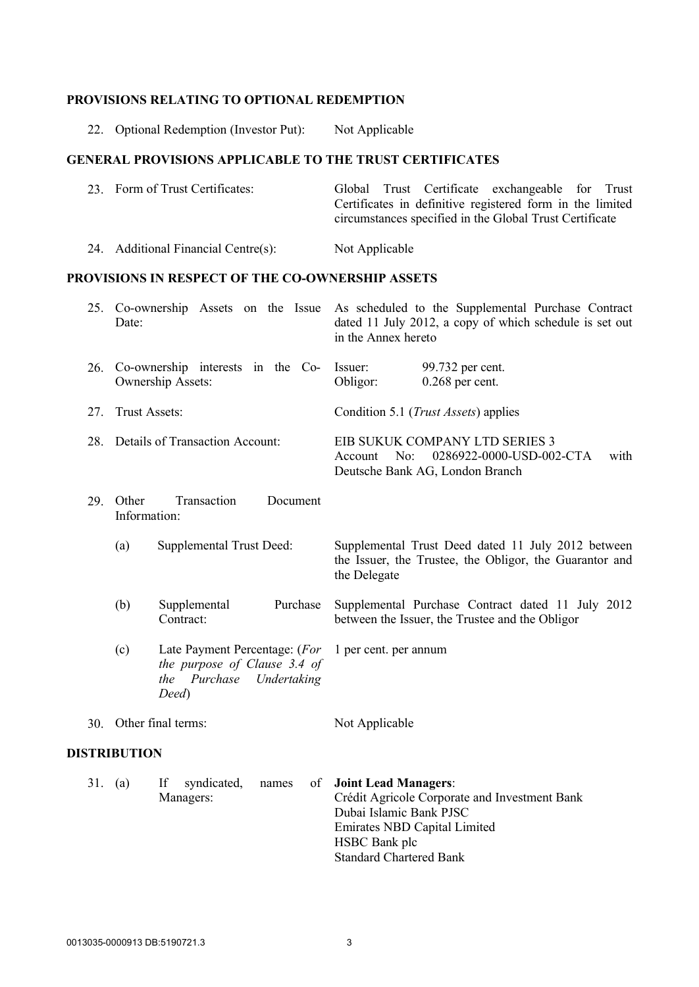## **PROVISIONS RELATING TO OPTIONAL REDEMPTION**

|     | 22. Optional Redemption (Investor Put):                                                                                            | Not Applicable                                                                                                                                                                   |  |  |  |  |  |
|-----|------------------------------------------------------------------------------------------------------------------------------------|----------------------------------------------------------------------------------------------------------------------------------------------------------------------------------|--|--|--|--|--|
|     | <b>GENERAL PROVISIONS APPLICABLE TO THE TRUST CERTIFICATES</b>                                                                     |                                                                                                                                                                                  |  |  |  |  |  |
|     | 23. Form of Trust Certificates:                                                                                                    | Trust Certificate exchangeable<br>Global<br>for<br>Trust<br>Certificates in definitive registered form in the limited<br>circumstances specified in the Global Trust Certificate |  |  |  |  |  |
|     | 24. Additional Financial Centre(s):                                                                                                | Not Applicable                                                                                                                                                                   |  |  |  |  |  |
|     | PROVISIONS IN RESPECT OF THE CO-OWNERSHIP ASSETS                                                                                   |                                                                                                                                                                                  |  |  |  |  |  |
|     | Date:                                                                                                                              | 25. Co-ownership Assets on the Issue As scheduled to the Supplemental Purchase Contract<br>dated 11 July 2012, a copy of which schedule is set out<br>in the Annex hereto        |  |  |  |  |  |
| 26. | Co-ownership interests in the Co-<br>Ownership Assets:                                                                             | 99.732 per cent.<br>Issuer:<br>$0.268$ per cent.<br>Obligor:                                                                                                                     |  |  |  |  |  |
| 27. | Trust Assets:                                                                                                                      | Condition 5.1 ( <i>Trust Assets</i> ) applies                                                                                                                                    |  |  |  |  |  |
|     | 28. Details of Transaction Account:                                                                                                | EIB SUKUK COMPANY LTD SERIES 3<br>0286922-0000-USD-002-CTA<br>No:<br>with<br>Account<br>Deutsche Bank AG, London Branch                                                          |  |  |  |  |  |
|     | Transaction<br>29. Other<br>Document<br>Information:                                                                               |                                                                                                                                                                                  |  |  |  |  |  |
|     | Supplemental Trust Deed:<br>(a)                                                                                                    | Supplemental Trust Deed dated 11 July 2012 between<br>the Issuer, the Trustee, the Obligor, the Guarantor and<br>the Delegate                                                    |  |  |  |  |  |
|     | Purchase<br>(b)<br>Supplemental<br>Contract:                                                                                       | Supplemental Purchase Contract dated 11 July 2012<br>between the Issuer, the Trustee and the Obligor                                                                             |  |  |  |  |  |
|     | Late Payment Percentage: (For 1 per cent. per annum<br>(c)<br>the purpose of Clause 3.4 of<br>the Purchase<br>Undertaking<br>Deed) |                                                                                                                                                                                  |  |  |  |  |  |
| 30. | Other final terms:                                                                                                                 | Not Applicable                                                                                                                                                                   |  |  |  |  |  |
|     | DISTRIBUTION                                                                                                                       |                                                                                                                                                                                  |  |  |  |  |  |
|     | 31. (a)<br>If<br>syndicated,<br>οf<br>names<br>Managers:                                                                           | <b>Joint Lead Managers:</b><br>Crédit Agricole Corporate and Investment Bank<br>Dubai Islamic Bank PJSC<br><b>Emirates NBD Capital Limited</b><br>HSBC Bank plc                  |  |  |  |  |  |

Standard Chartered Bank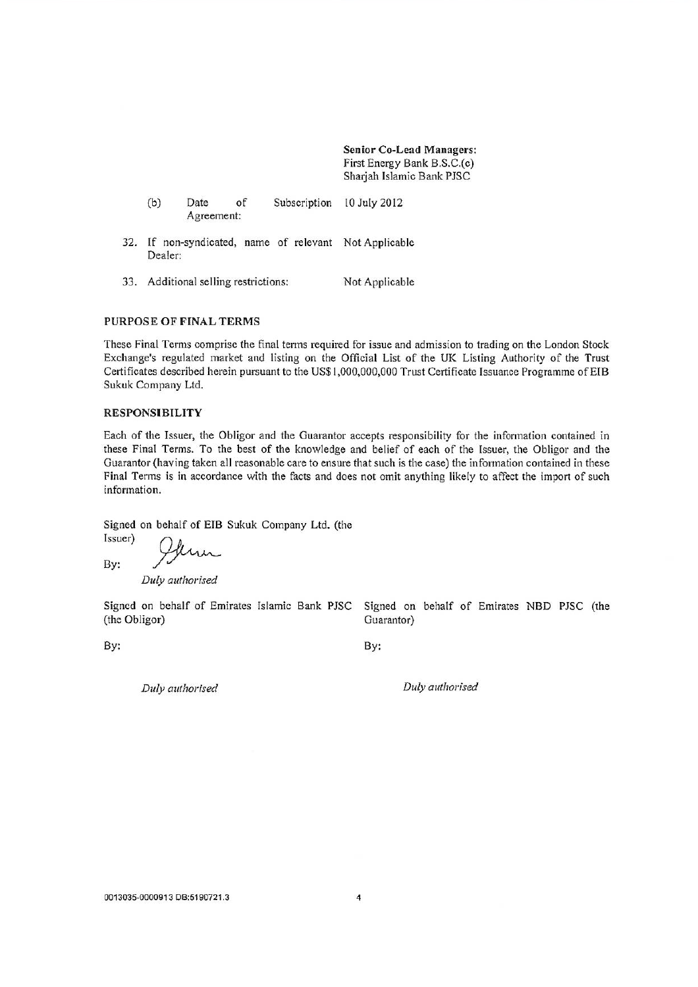**Senior Co-Lead Managers:** First Energy Bank B.S.C.(c) Sharjah Islamic Bank PJSC

| (b) | Date       | of | Subscription 10 July 2012                              |
|-----|------------|----|--------------------------------------------------------|
|     | Agreement: |    |                                                        |
|     |            |    | 32. If non-syndicated, name of relevant Not Applicable |
|     | Dealer:    |    |                                                        |

33. Additional selling restrictions: Not Applicable

#### **PURPOSE OF FINAL TERMS**

These Final Terms comprise the final terms required for issue and admission to trading on the London Stock Exchange's regulated market and listing on the Official List of the UK Listing Authority of the Trust Certificates described herein pursuant to the US\$1,000,000,000 Trust Certificate Issuance Programme of EIB Sukuk Company Ltd.

#### **RESPONSIBILITY**

Each of the Issuer, the Obligor and the Guarantor accepts responsibility for the information contained in these Final Terms. To the best of the knowledge and belief of each of the Issuer, the Obligor and the Guarantor (having taken all reasonable care to ensure that such is the case) the information contained in these Final Terms is in accordance with the facts and does not omit anything likely to affect the import of such information.

Signed on behalf of EIB Sukuk Company Ltd. (the

Issuer) By: Duly authorised

Signed on behalf of Emirates Islamic Bank PJSC Signed on behalf of Emirates NBD PJSC (the (the Obligor) Guarantor)

By:

By:

Duly authorised

Duly authorised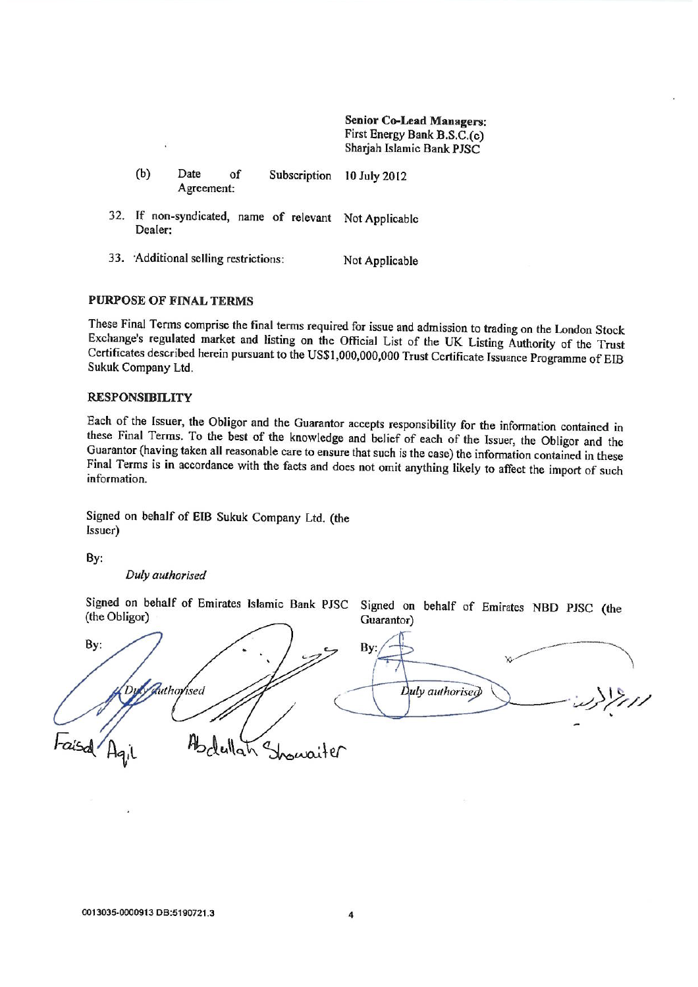**Senior Co-Lead Managers:** First Energy Bank B.S.C.(c) Sharjah Islamic Bank PJSC

- $(b)$ Date of Subscription 10 July 2012 Agreement:
- 32. If non-syndicated, name of relevant Not Applicable Dealer:
- 33. Additional selling restrictions: Not Applicable

### **PURPOSE OF FINAL TERMS**

These Final Terms comprise the final terms required for issue and admission to trading on the London Stock Exchange's regulated market and listing on the Official List of the UK Listing Authority of the Trust Certificates described herein pursuant to the US\$1,000,000,000 Trust Certificate Issuance Programme of EIB Sukuk Company Ltd.

### **RESPONSIBILITY**

Each of the Issuer, the Obligor and the Guarantor accepts responsibility for the information contained in these Final Terms. To the best of the knowledge and belief of each of the Issuer, the Obligor and the Guarantor (having taken all reasonable care to ensure that such is the case) the information contained in these Final Terms is in accordance with the facts and does not omit anything likely to affect the import of such information.

Signed on behalf of EIB Sukuk Company Ltd. (the Issuer)

By:

### Duly authorised

Signed on behalf of Emirates Islamic Bank PJSC (the Obligor)

Signed on behalf of Emirates NBD PJSC (the Guarantor)

By: By: Authorised Duly authorised nouaiter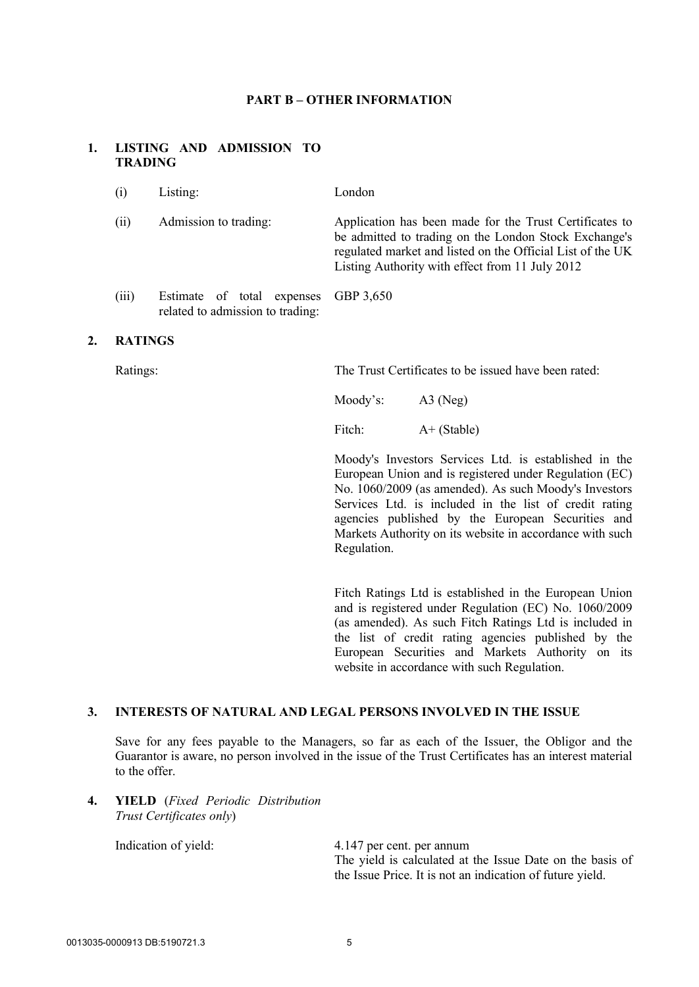### **PART B – OTHER INFORMATION**

### **1. LISTING AND ADMISSION TO TRADING**

- (i) Listing: London
- (ii) Admission to trading: Application has been made for the Trust Certificates to be admitted to trading on the London Stock Exchange's regulated market and listed on the Official List of the UK Listing Authority with effect from 11 July 2012
- (iii) Estimate of total expenses related to admission to trading: GBP 3,650

### **2. RATINGS**

Ratings: The Trust Certificates to be issued have been rated:

Moody's: A3 (Neg)

Fitch:  $A+ (Stable)$ 

Moody's Investors Services Ltd. is established in the European Union and is registered under Regulation (EC) No. 1060/2009 (as amended). As such Moody's Investors Services Ltd. is included in the list of credit rating agencies published by the European Securities and Markets Authority on its website in accordance with such Regulation.

Fitch Ratings Ltd is established in the European Union and is registered under Regulation (EC) No. 1060/2009 (as amended). As such Fitch Ratings Ltd is included in the list of credit rating agencies published by the European Securities and Markets Authority on its website in accordance with such Regulation.

### **3. INTERESTS OF NATURAL AND LEGAL PERSONS INVOLVED IN THE ISSUE**

Save for any fees payable to the Managers, so far as each of the Issuer, the Obligor and the Guarantor is aware, no person involved in the issue of the Trust Certificates has an interest material to the offer.

**4. YIELD** (*Fixed Periodic Distribution Trust Certificates only*)

Indication of yield: 4.147 per cent. per annum The yield is calculated at the Issue Date on the basis of the Issue Price. It is not an indication of future yield.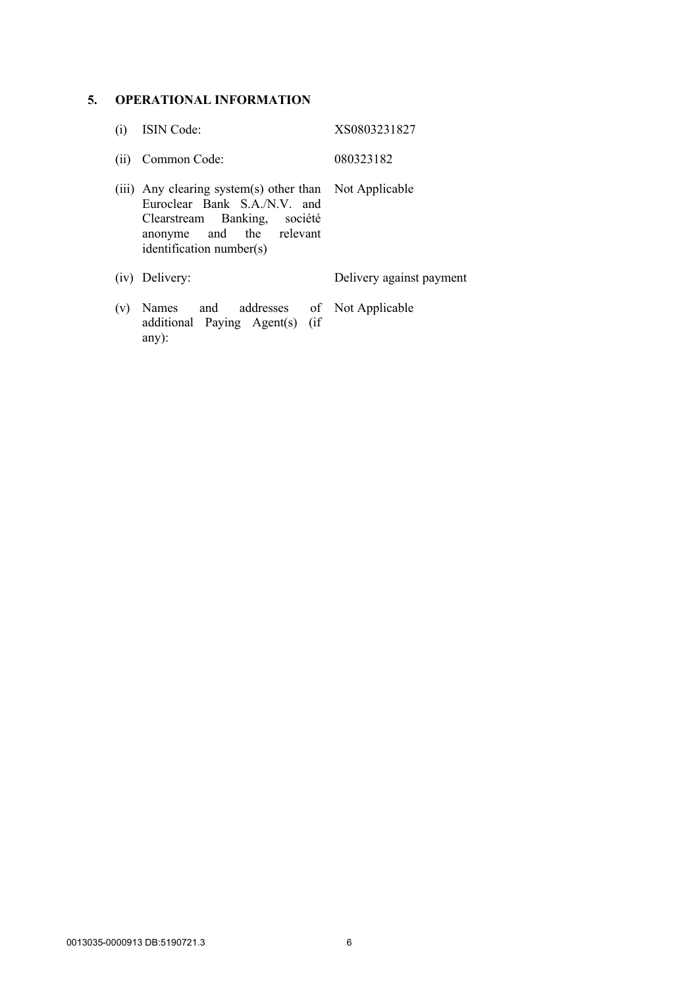# **5. OPERATIONAL INFORMATION**

| (i) | <b>ISIN Code:</b>                                                                                                                                                              | XS0803231827             |
|-----|--------------------------------------------------------------------------------------------------------------------------------------------------------------------------------|--------------------------|
| (i) | Common Code:                                                                                                                                                                   | 080323182                |
|     | (iii) Any clearing system(s) other than Not Applicable<br>Euroclear Bank S.A./N.V. and<br>Clearstream Banking, société<br>anonyme and the relevant<br>identification number(s) |                          |
|     | (iv) Delivery:                                                                                                                                                                 | Delivery against payment |
| (v) | Names and addresses of Not Applicable<br>additional Paying Agent(s) (if<br>$any)$ :                                                                                            |                          |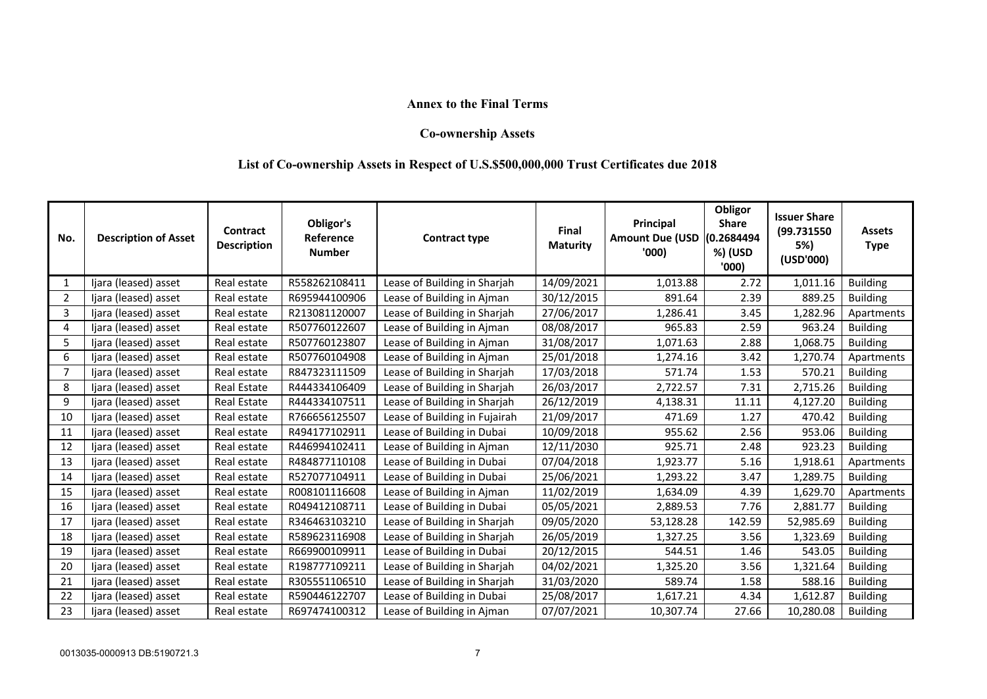# **Annex to the Final Terms**

### **Co-ownership Assets**

# **List of Co-ownership Assets in Respect of U.S.\$500,000,000 Trust Certificates due 2018**

| No.            | <b>Description of Asset</b> | <b>Contract</b><br><b>Description</b> | Obligor's<br>Reference<br><b>Number</b> | <b>Contract type</b>          | <b>Final</b><br><b>Maturity</b> | Principal<br><b>Amount Due (USD</b><br>'000 | Obligor<br><b>Share</b><br>(0.2684494)<br>%) (USD<br>'000 | <b>Issuer Share</b><br>(99.731550<br>5%)<br>(USD'000) | <b>Assets</b><br><b>Type</b> |
|----------------|-----------------------------|---------------------------------------|-----------------------------------------|-------------------------------|---------------------------------|---------------------------------------------|-----------------------------------------------------------|-------------------------------------------------------|------------------------------|
| 1              | Ijara (leased) asset        | Real estate                           | R558262108411                           | Lease of Building in Sharjah  | 14/09/2021                      | 1,013.88                                    | 2.72                                                      | 1,011.16                                              | <b>Building</b>              |
| $\overline{2}$ | ljara (leased) asset        | Real estate                           | R695944100906                           | Lease of Building in Ajman    | 30/12/2015                      | 891.64                                      | 2.39                                                      | 889.25                                                | <b>Building</b>              |
| $\mathbf{3}$   | Ijara (leased) asset        | Real estate                           | R213081120007                           | Lease of Building in Sharjah  | 27/06/2017                      | 1,286.41                                    | 3.45                                                      | 1,282.96                                              | Apartments                   |
| 4              | Ijara (leased) asset        | Real estate                           | R507760122607                           | Lease of Building in Ajman    | 08/08/2017                      | 965.83                                      | 2.59                                                      | 963.24                                                | <b>Building</b>              |
| 5              | Ijara (leased) asset        | Real estate                           | R507760123807                           | Lease of Building in Ajman    | 31/08/2017                      | 1,071.63                                    | 2.88                                                      | 1,068.75                                              | <b>Building</b>              |
| 6              | Ijara (leased) asset        | Real estate                           | R507760104908                           | Lease of Building in Ajman    | 25/01/2018                      | 1,274.16                                    | 3.42                                                      | 1,270.74                                              | Apartments                   |
| $\overline{7}$ | Ijara (leased) asset        | Real estate                           | R847323111509                           | Lease of Building in Sharjah  | 17/03/2018                      | 571.74                                      | 1.53                                                      | 570.21                                                | <b>Building</b>              |
| 8              | Ijara (leased) asset        | <b>Real Estate</b>                    | R444334106409                           | Lease of Building in Sharjah  | 26/03/2017                      | 2,722.57                                    | 7.31                                                      | 2,715.26                                              | <b>Building</b>              |
| 9              | Ijara (leased) asset        | Real Estate                           | R444334107511                           | Lease of Building in Sharjah  | 26/12/2019                      | 4,138.31                                    | 11.11                                                     | 4,127.20                                              | <b>Building</b>              |
| 10             | Ijara (leased) asset        | Real estate                           | R766656125507                           | Lease of Building in Fujairah | 21/09/2017                      | 471.69                                      | 1.27                                                      | 470.42                                                | <b>Building</b>              |
| 11             | ljara (leased) asset        | Real estate                           | R494177102911                           | Lease of Building in Dubai    | 10/09/2018                      | 955.62                                      | 2.56                                                      | 953.06                                                | <b>Building</b>              |
| 12             | Ijara (leased) asset        | Real estate                           | R446994102411                           | Lease of Building in Ajman    | 12/11/2030                      | 925.71                                      | 2.48                                                      | 923.23                                                | <b>Building</b>              |
| 13             | Ijara (leased) asset        | Real estate                           | R484877110108                           | Lease of Building in Dubai    | 07/04/2018                      | 1,923.77                                    | 5.16                                                      | 1,918.61                                              | Apartments                   |
| 14             | Ijara (leased) asset        | Real estate                           | R527077104911                           | Lease of Building in Dubai    | 25/06/2021                      | 1,293.22                                    | 3.47                                                      | 1,289.75                                              | <b>Building</b>              |
| 15             | Ijara (leased) asset        | Real estate                           | R008101116608                           | Lease of Building in Ajman    | 11/02/2019                      | 1,634.09                                    | 4.39                                                      | 1,629.70                                              | Apartments                   |
| 16             | Ijara (leased) asset        | Real estate                           | R049412108711                           | Lease of Building in Dubai    | 05/05/2021                      | 2,889.53                                    | 7.76                                                      | 2,881.77                                              | <b>Building</b>              |
| 17             | Ijara (leased) asset        | Real estate                           | R346463103210                           | Lease of Building in Sharjah  | 09/05/2020                      | 53,128.28                                   | 142.59                                                    | 52,985.69                                             | <b>Building</b>              |
| 18             | Ijara (leased) asset        | Real estate                           | R589623116908                           | Lease of Building in Sharjah  | 26/05/2019                      | 1,327.25                                    | 3.56                                                      | 1,323.69                                              | <b>Building</b>              |
| 19             | Ijara (leased) asset        | Real estate                           | R669900109911                           | Lease of Building in Dubai    | 20/12/2015                      | 544.51                                      | 1.46                                                      | 543.05                                                | <b>Building</b>              |
| 20             | Ijara (leased) asset        | Real estate                           | R198777109211                           | Lease of Building in Sharjah  | 04/02/2021                      | 1,325.20                                    | 3.56                                                      | 1,321.64                                              | <b>Building</b>              |
| 21             | Ijara (leased) asset        | Real estate                           | R305551106510                           | Lease of Building in Sharjah  | 31/03/2020                      | 589.74                                      | 1.58                                                      | 588.16                                                | <b>Building</b>              |
| 22             | Ijara (leased) asset        | Real estate                           | R590446122707                           | Lease of Building in Dubai    | 25/08/2017                      | 1,617.21                                    | 4.34                                                      | 1,612.87                                              | <b>Building</b>              |
| 23             | Ijara (leased) asset        | Real estate                           | R697474100312                           | Lease of Building in Ajman    | 07/07/2021                      | 10,307.74                                   | 27.66                                                     | 10,280.08                                             | <b>Building</b>              |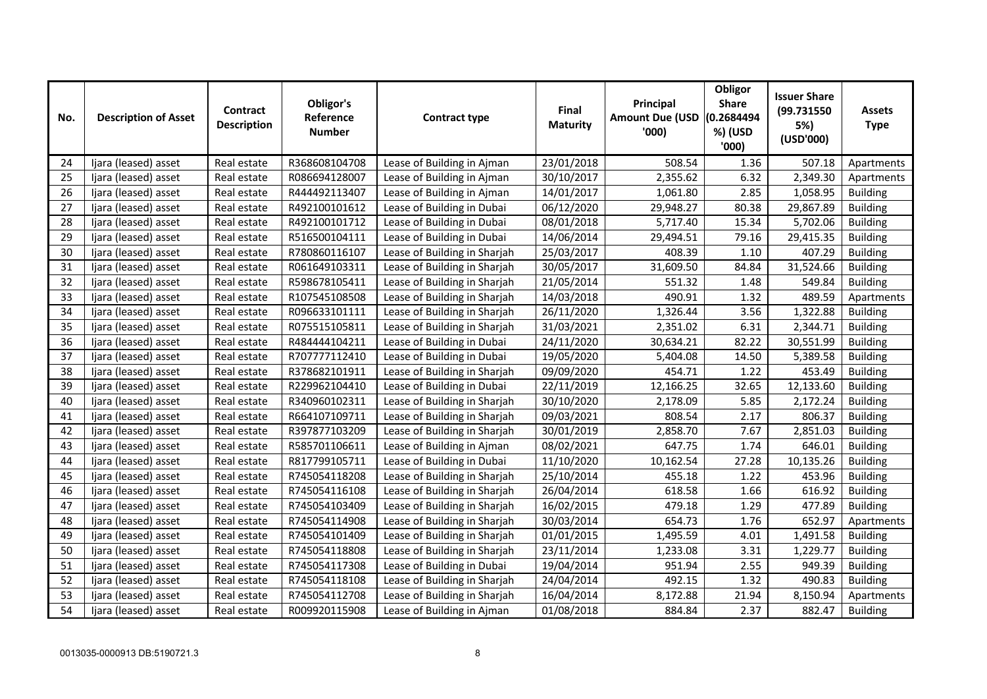| No. | <b>Description of Asset</b> | <b>Contract</b><br><b>Description</b> | Obligor's<br>Reference<br><b>Number</b> | <b>Contract type</b>         | Final<br><b>Maturity</b> | Principal<br><b>Amount Due (USD</b><br>'000 | Obligor<br><b>Share</b><br>(0.2684494)<br>%) (USD<br>'000) | <b>Issuer Share</b><br>(99.731550<br>5%)<br>(USD'000) | <b>Assets</b><br><b>Type</b> |
|-----|-----------------------------|---------------------------------------|-----------------------------------------|------------------------------|--------------------------|---------------------------------------------|------------------------------------------------------------|-------------------------------------------------------|------------------------------|
| 24  | Ijara (leased) asset        | Real estate                           | R368608104708                           | Lease of Building in Ajman   | 23/01/2018               | 508.54                                      | 1.36                                                       | 507.18                                                | Apartments                   |
| 25  | Ijara (leased) asset        | Real estate                           | R086694128007                           | Lease of Building in Ajman   | 30/10/2017               | 2,355.62                                    | 6.32                                                       | 2,349.30                                              | Apartments                   |
| 26  | Ijara (leased) asset        | Real estate                           | R444492113407                           | Lease of Building in Ajman   | 14/01/2017               | 1,061.80                                    | 2.85                                                       | 1,058.95                                              | <b>Building</b>              |
| 27  | Ijara (leased) asset        | Real estate                           | R492100101612                           | Lease of Building in Dubai   | 06/12/2020               | 29,948.27                                   | 80.38                                                      | 29,867.89                                             | <b>Building</b>              |
| 28  | Ijara (leased) asset        | Real estate                           | R492100101712                           | Lease of Building in Dubai   | 08/01/2018               | 5,717.40                                    | 15.34                                                      | 5,702.06                                              | <b>Building</b>              |
| 29  | Ijara (leased) asset        | Real estate                           | R516500104111                           | Lease of Building in Dubai   | 14/06/2014               | 29,494.51                                   | 79.16                                                      | 29,415.35                                             | <b>Building</b>              |
| 30  | Ijara (leased) asset        | Real estate                           | R780860116107                           | Lease of Building in Sharjah | 25/03/2017               | 408.39                                      | 1.10                                                       | 407.29                                                | <b>Building</b>              |
| 31  | Ijara (leased) asset        | Real estate                           | R061649103311                           | Lease of Building in Sharjah | 30/05/2017               | 31,609.50                                   | 84.84                                                      | 31,524.66                                             | <b>Building</b>              |
| 32  | Ijara (leased) asset        | Real estate                           | R598678105411                           | Lease of Building in Sharjah | 21/05/2014               | 551.32                                      | 1.48                                                       | 549.84                                                | <b>Building</b>              |
| 33  | Ijara (leased) asset        | Real estate                           | R107545108508                           | Lease of Building in Sharjah | 14/03/2018               | 490.91                                      | 1.32                                                       | 489.59                                                | Apartments                   |
| 34  | Ijara (leased) asset        | Real estate                           | R096633101111                           | Lease of Building in Sharjah | 26/11/2020               | 1,326.44                                    | 3.56                                                       | 1,322.88                                              | <b>Building</b>              |
| 35  | Ijara (leased) asset        | Real estate                           | R075515105811                           | Lease of Building in Sharjah | 31/03/2021               | 2,351.02                                    | 6.31                                                       | 2,344.71                                              | <b>Building</b>              |
| 36  | Ijara (leased) asset        | Real estate                           | R484444104211                           | Lease of Building in Dubai   | 24/11/2020               | 30,634.21                                   | 82.22                                                      | 30,551.99                                             | <b>Building</b>              |
| 37  | Ijara (leased) asset        | Real estate                           | R707777112410                           | Lease of Building in Dubai   | 19/05/2020               | 5,404.08                                    | 14.50                                                      | 5,389.58                                              | <b>Building</b>              |
| 38  | Ijara (leased) asset        | Real estate                           | R378682101911                           | Lease of Building in Sharjah | 09/09/2020               | 454.71                                      | 1.22                                                       | 453.49                                                | <b>Building</b>              |
| 39  | Ijara (leased) asset        | Real estate                           | R229962104410                           | Lease of Building in Dubai   | 22/11/2019               | 12,166.25                                   | 32.65                                                      | 12,133.60                                             | <b>Building</b>              |
| 40  | Ijara (leased) asset        | Real estate                           | R340960102311                           | Lease of Building in Sharjah | 30/10/2020               | 2,178.09                                    | 5.85                                                       | 2,172.24                                              | <b>Building</b>              |
| 41  | Ijara (leased) asset        | Real estate                           | R664107109711                           | Lease of Building in Sharjah | 09/03/2021               | 808.54                                      | 2.17                                                       | 806.37                                                | <b>Building</b>              |
| 42  | Ijara (leased) asset        | Real estate                           | R397877103209                           | Lease of Building in Sharjah | 30/01/2019               | 2,858.70                                    | 7.67                                                       | 2,851.03                                              | <b>Building</b>              |
| 43  | Ijara (leased) asset        | Real estate                           | R585701106611                           | Lease of Building in Ajman   | 08/02/2021               | 647.75                                      | 1.74                                                       | 646.01                                                | <b>Building</b>              |
| 44  | Ijara (leased) asset        | Real estate                           | R817799105711                           | Lease of Building in Dubai   | 11/10/2020               | 10,162.54                                   | 27.28                                                      | 10,135.26                                             | <b>Building</b>              |
| 45  | Ijara (leased) asset        | Real estate                           | R745054118208                           | Lease of Building in Sharjah | 25/10/2014               | 455.18                                      | 1.22                                                       | 453.96                                                | <b>Building</b>              |
| 46  | Ijara (leased) asset        | Real estate                           | R745054116108                           | Lease of Building in Sharjah | 26/04/2014               | 618.58                                      | 1.66                                                       | 616.92                                                | <b>Building</b>              |
| 47  | Ijara (leased) asset        | Real estate                           | R745054103409                           | Lease of Building in Sharjah | 16/02/2015               | 479.18                                      | 1.29                                                       | 477.89                                                | <b>Building</b>              |
| 48  | Ijara (leased) asset        | Real estate                           | R745054114908                           | Lease of Building in Sharjah | 30/03/2014               | 654.73                                      | 1.76                                                       | 652.97                                                | Apartments                   |
| 49  | Ijara (leased) asset        | Real estate                           | R745054101409                           | Lease of Building in Sharjah | 01/01/2015               | 1,495.59                                    | 4.01                                                       | 1,491.58                                              | <b>Building</b>              |
| 50  | Ijara (leased) asset        | Real estate                           | R745054118808                           | Lease of Building in Sharjah | 23/11/2014               | 1,233.08                                    | 3.31                                                       | 1,229.77                                              | <b>Building</b>              |
| 51  | Ijara (leased) asset        | Real estate                           | R745054117308                           | Lease of Building in Dubai   | 19/04/2014               | 951.94                                      | 2.55                                                       | 949.39                                                | <b>Building</b>              |
| 52  | Ijara (leased) asset        | Real estate                           | R745054118108                           | Lease of Building in Sharjah | 24/04/2014               | 492.15                                      | 1.32                                                       | 490.83                                                | <b>Building</b>              |
| 53  | Ijara (leased) asset        | Real estate                           | R745054112708                           | Lease of Building in Sharjah | 16/04/2014               | 8,172.88                                    | 21.94                                                      | 8,150.94                                              | Apartments                   |
| 54  | Ijara (leased) asset        | Real estate                           | R009920115908                           | Lease of Building in Ajman   | 01/08/2018               | 884.84                                      | 2.37                                                       | 882.47                                                | <b>Building</b>              |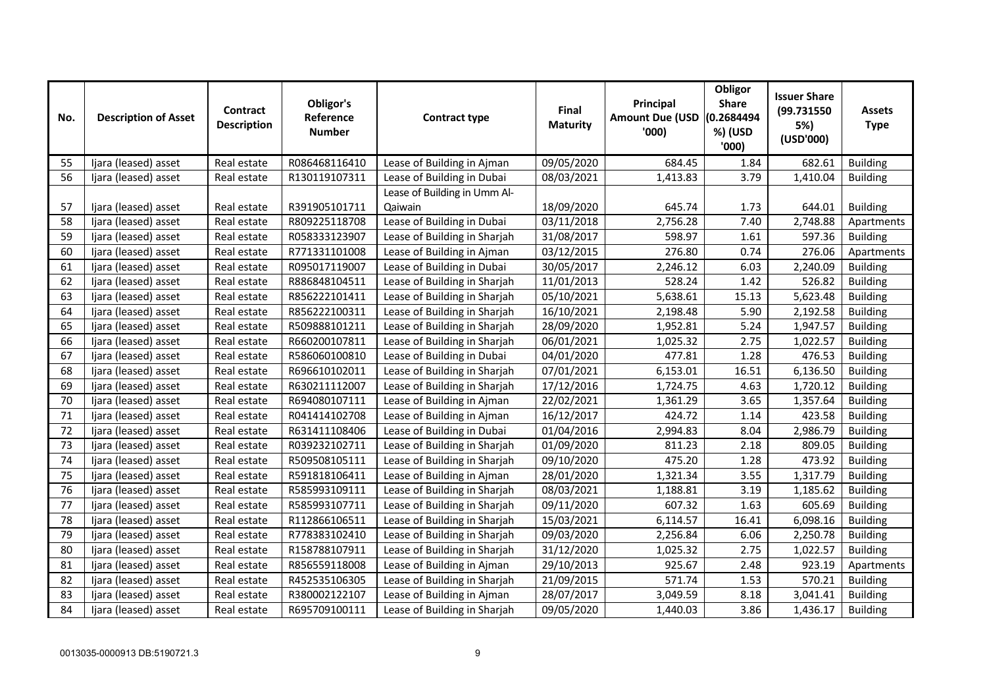| No. | <b>Description of Asset</b> | <b>Contract</b><br><b>Description</b> | Obligor's<br>Reference<br><b>Number</b> | <b>Contract type</b>         | <b>Final</b><br><b>Maturity</b> | Principal<br><b>Amount Due (USD</b><br>'000) | Obligor<br><b>Share</b><br>(0.2684494<br>%) (USD<br>'000) | <b>Issuer Share</b><br>(99.731550<br>5%)<br>(USD'000) | <b>Assets</b><br><b>Type</b> |
|-----|-----------------------------|---------------------------------------|-----------------------------------------|------------------------------|---------------------------------|----------------------------------------------|-----------------------------------------------------------|-------------------------------------------------------|------------------------------|
| 55  | Ijara (leased) asset        | Real estate                           | R086468116410                           | Lease of Building in Ajman   | 09/05/2020                      | 684.45                                       | 1.84                                                      | 682.61                                                | <b>Building</b>              |
| 56  | Ijara (leased) asset        | Real estate                           | R130119107311                           | Lease of Building in Dubai   | 08/03/2021                      | 1,413.83                                     | 3.79                                                      | 1,410.04                                              | <b>Building</b>              |
|     |                             |                                       |                                         | Lease of Building in Umm Al- |                                 |                                              |                                                           |                                                       |                              |
| 57  | Ijara (leased) asset        | Real estate                           | R391905101711                           | Qaiwain                      | 18/09/2020                      | 645.74                                       | 1.73                                                      | 644.01                                                | <b>Building</b>              |
| 58  | Ijara (leased) asset        | Real estate                           | R809225118708                           | Lease of Building in Dubai   | 03/11/2018                      | 2,756.28                                     | 7.40                                                      | 2,748.88                                              | Apartments                   |
| 59  | Ijara (leased) asset        | Real estate                           | R058333123907                           | Lease of Building in Sharjah | 31/08/2017                      | 598.97                                       | 1.61                                                      | 597.36                                                | <b>Building</b>              |
| 60  | Ijara (leased) asset        | Real estate                           | R771331101008                           | Lease of Building in Ajman   | 03/12/2015                      | 276.80                                       | 0.74                                                      | 276.06                                                | Apartments                   |
| 61  | Ijara (leased) asset        | Real estate                           | R095017119007                           | Lease of Building in Dubai   | 30/05/2017                      | 2,246.12                                     | 6.03                                                      | 2,240.09                                              | <b>Building</b>              |
| 62  | Ijara (leased) asset        | Real estate                           | R886848104511                           | Lease of Building in Sharjah | 11/01/2013                      | 528.24                                       | 1.42                                                      | 526.82                                                | <b>Building</b>              |
| 63  | Ijara (leased) asset        | Real estate                           | R856222101411                           | Lease of Building in Sharjah | 05/10/2021                      | 5,638.61                                     | 15.13                                                     | 5,623.48                                              | <b>Building</b>              |
| 64  | Ijara (leased) asset        | Real estate                           | R856222100311                           | Lease of Building in Sharjah | 16/10/2021                      | 2,198.48                                     | 5.90                                                      | 2,192.58                                              | <b>Building</b>              |
| 65  | Ijara (leased) asset        | Real estate                           | R509888101211                           | Lease of Building in Sharjah | 28/09/2020                      | 1,952.81                                     | 5.24                                                      | 1,947.57                                              | <b>Building</b>              |
| 66  | Ijara (leased) asset        | Real estate                           | R660200107811                           | Lease of Building in Sharjah | 06/01/2021                      | 1,025.32                                     | 2.75                                                      | 1,022.57                                              | <b>Building</b>              |
| 67  | Ijara (leased) asset        | Real estate                           | R586060100810                           | Lease of Building in Dubai   | 04/01/2020                      | 477.81                                       | 1.28                                                      | 476.53                                                | <b>Building</b>              |
| 68  | Ijara (leased) asset        | Real estate                           | R696610102011                           | Lease of Building in Sharjah | 07/01/2021                      | 6,153.01                                     | 16.51                                                     | 6,136.50                                              | <b>Building</b>              |
| 69  | Ijara (leased) asset        | Real estate                           | R630211112007                           | Lease of Building in Sharjah | 17/12/2016                      | 1,724.75                                     | 4.63                                                      | 1,720.12                                              | <b>Building</b>              |
| 70  | Ijara (leased) asset        | Real estate                           | R694080107111                           | Lease of Building in Ajman   | 22/02/2021                      | 1,361.29                                     | 3.65                                                      | 1,357.64                                              | <b>Building</b>              |
| 71  | Ijara (leased) asset        | Real estate                           | R041414102708                           | Lease of Building in Ajman   | 16/12/2017                      | 424.72                                       | 1.14                                                      | 423.58                                                | <b>Building</b>              |
| 72  | Ijara (leased) asset        | Real estate                           | R631411108406                           | Lease of Building in Dubai   | 01/04/2016                      | 2,994.83                                     | 8.04                                                      | 2,986.79                                              | <b>Building</b>              |
| 73  | Ijara (leased) asset        | Real estate                           | R039232102711                           | Lease of Building in Sharjah | 01/09/2020                      | 811.23                                       | 2.18                                                      | 809.05                                                | <b>Building</b>              |
| 74  | Ijara (leased) asset        | Real estate                           | R509508105111                           | Lease of Building in Sharjah | 09/10/2020                      | 475.20                                       | 1.28                                                      | 473.92                                                | <b>Building</b>              |
| 75  | Ijara (leased) asset        | Real estate                           | R591818106411                           | Lease of Building in Ajman   | 28/01/2020                      | 1,321.34                                     | 3.55                                                      | 1,317.79                                              | <b>Building</b>              |
| 76  | Ijara (leased) asset        | Real estate                           | R585993109111                           | Lease of Building in Sharjah | 08/03/2021                      | 1,188.81                                     | 3.19                                                      | 1,185.62                                              | <b>Building</b>              |
| 77  | Ijara (leased) asset        | Real estate                           | R585993107711                           | Lease of Building in Sharjah | 09/11/2020                      | 607.32                                       | 1.63                                                      | 605.69                                                | <b>Building</b>              |
| 78  | Ijara (leased) asset        | Real estate                           | R112866106511                           | Lease of Building in Sharjah | 15/03/2021                      | 6,114.57                                     | 16.41                                                     | 6,098.16                                              | <b>Building</b>              |
| 79  | Ijara (leased) asset        | Real estate                           | R778383102410                           | Lease of Building in Sharjah | 09/03/2020                      | 2,256.84                                     | 6.06                                                      | 2,250.78                                              | <b>Building</b>              |
| 80  | Ijara (leased) asset        | Real estate                           | R158788107911                           | Lease of Building in Sharjah | 31/12/2020                      | 1,025.32                                     | 2.75                                                      | 1,022.57                                              | <b>Building</b>              |
| 81  | Ijara (leased) asset        | Real estate                           | R856559118008                           | Lease of Building in Ajman   | 29/10/2013                      | 925.67                                       | 2.48                                                      | 923.19                                                | Apartments                   |
| 82  | Ijara (leased) asset        | Real estate                           | R452535106305                           | Lease of Building in Sharjah | 21/09/2015                      | 571.74                                       | 1.53                                                      | 570.21                                                | <b>Building</b>              |
| 83  | Ijara (leased) asset        | Real estate                           | R380002122107                           | Lease of Building in Ajman   | 28/07/2017                      | 3,049.59                                     | 8.18                                                      | 3,041.41                                              | <b>Building</b>              |
| 84  | Ijara (leased) asset        | Real estate                           | R695709100111                           | Lease of Building in Sharjah | 09/05/2020                      | 1,440.03                                     | 3.86                                                      | 1,436.17                                              | <b>Building</b>              |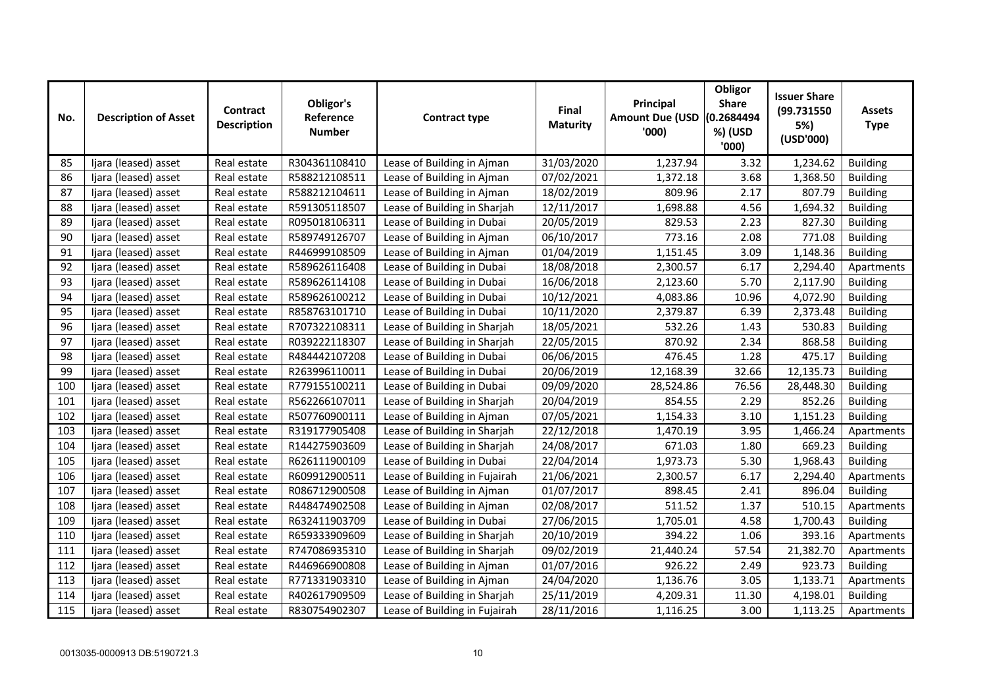| No. | <b>Description of Asset</b> | <b>Contract</b><br><b>Description</b> | Obligor's<br>Reference<br><b>Number</b> | <b>Contract type</b>          | Final<br><b>Maturity</b> | Principal<br><b>Amount Due (USD</b><br>'000 | Obligor<br><b>Share</b><br>(0.2684494<br>%) (USD<br>'000) | <b>Issuer Share</b><br>(99.731550<br>5%)<br>(USD'000) | <b>Assets</b><br><b>Type</b> |
|-----|-----------------------------|---------------------------------------|-----------------------------------------|-------------------------------|--------------------------|---------------------------------------------|-----------------------------------------------------------|-------------------------------------------------------|------------------------------|
| 85  | Ijara (leased) asset        | Real estate                           | R304361108410                           | Lease of Building in Ajman    | 31/03/2020               | 1,237.94                                    | 3.32                                                      | 1,234.62                                              | <b>Building</b>              |
| 86  | Ijara (leased) asset        | Real estate                           | R588212108511                           | Lease of Building in Ajman    | 07/02/2021               | 1,372.18                                    | 3.68                                                      | 1,368.50                                              | <b>Building</b>              |
| 87  | Ijara (leased) asset        | Real estate                           | R588212104611                           | Lease of Building in Ajman    | 18/02/2019               | 809.96                                      | 2.17                                                      | 807.79                                                | <b>Building</b>              |
| 88  | Ijara (leased) asset        | Real estate                           | R591305118507                           | Lease of Building in Sharjah  | 12/11/2017               | 1,698.88                                    | 4.56                                                      | 1,694.32                                              | <b>Building</b>              |
| 89  | Ijara (leased) asset        | Real estate                           | R095018106311                           | Lease of Building in Dubai    | 20/05/2019               | 829.53                                      | 2.23                                                      | 827.30                                                | <b>Building</b>              |
| 90  | Ijara (leased) asset        | Real estate                           | R589749126707                           | Lease of Building in Ajman    | 06/10/2017               | 773.16                                      | 2.08                                                      | 771.08                                                | <b>Building</b>              |
| 91  | Ijara (leased) asset        | Real estate                           | R446999108509                           | Lease of Building in Ajman    | 01/04/2019               | 1,151.45                                    | 3.09                                                      | 1,148.36                                              | <b>Building</b>              |
| 92  | Ijara (leased) asset        | Real estate                           | R589626116408                           | Lease of Building in Dubai    | 18/08/2018               | 2,300.57                                    | 6.17                                                      | 2,294.40                                              | Apartments                   |
| 93  | Ijara (leased) asset        | Real estate                           | R589626114108                           | Lease of Building in Dubai    | 16/06/2018               | 2,123.60                                    | 5.70                                                      | 2,117.90                                              | <b>Building</b>              |
| 94  | Ijara (leased) asset        | Real estate                           | R589626100212                           | Lease of Building in Dubai    | 10/12/2021               | 4,083.86                                    | 10.96                                                     | 4,072.90                                              | <b>Building</b>              |
| 95  | Ijara (leased) asset        | Real estate                           | R858763101710                           | Lease of Building in Dubai    | 10/11/2020               | 2,379.87                                    | 6.39                                                      | 2,373.48                                              | <b>Building</b>              |
| 96  | Ijara (leased) asset        | Real estate                           | R707322108311                           | Lease of Building in Sharjah  | 18/05/2021               | 532.26                                      | 1.43                                                      | 530.83                                                | <b>Building</b>              |
| 97  | Ijara (leased) asset        | Real estate                           | R039222118307                           | Lease of Building in Sharjah  | 22/05/2015               | 870.92                                      | 2.34                                                      | 868.58                                                | <b>Building</b>              |
| 98  | Ijara (leased) asset        | Real estate                           | R484442107208                           | Lease of Building in Dubai    | 06/06/2015               | 476.45                                      | 1.28                                                      | 475.17                                                | <b>Building</b>              |
| 99  | Ijara (leased) asset        | Real estate                           | R263996110011                           | Lease of Building in Dubai    | 20/06/2019               | 12,168.39                                   | 32.66                                                     | 12,135.73                                             | <b>Building</b>              |
| 100 | Ijara (leased) asset        | Real estate                           | R779155100211                           | Lease of Building in Dubai    | 09/09/2020               | 28,524.86                                   | 76.56                                                     | 28,448.30                                             | <b>Building</b>              |
| 101 | Ijara (leased) asset        | Real estate                           | R562266107011                           | Lease of Building in Sharjah  | 20/04/2019               | 854.55                                      | 2.29                                                      | 852.26                                                | <b>Building</b>              |
| 102 | Ijara (leased) asset        | Real estate                           | R507760900111                           | Lease of Building in Ajman    | 07/05/2021               | 1,154.33                                    | 3.10                                                      | 1,151.23                                              | <b>Building</b>              |
| 103 | Ijara (leased) asset        | Real estate                           | R319177905408                           | Lease of Building in Sharjah  | 22/12/2018               | 1,470.19                                    | 3.95                                                      | 1,466.24                                              | Apartments                   |
| 104 | Ijara (leased) asset        | Real estate                           | R144275903609                           | Lease of Building in Sharjah  | 24/08/2017               | 671.03                                      | 1.80                                                      | 669.23                                                | <b>Building</b>              |
| 105 | Ijara (leased) asset        | Real estate                           | R626111900109                           | Lease of Building in Dubai    | 22/04/2014               | 1,973.73                                    | 5.30                                                      | 1,968.43                                              | <b>Building</b>              |
| 106 | Ijara (leased) asset        | Real estate                           | R609912900511                           | Lease of Building in Fujairah | 21/06/2021               | 2,300.57                                    | 6.17                                                      | 2,294.40                                              | Apartments                   |
| 107 | Ijara (leased) asset        | Real estate                           | R086712900508                           | Lease of Building in Ajman    | 01/07/2017               | 898.45                                      | 2.41                                                      | 896.04                                                | <b>Building</b>              |
| 108 | Ijara (leased) asset        | Real estate                           | R448474902508                           | Lease of Building in Ajman    | 02/08/2017               | 511.52                                      | 1.37                                                      | 510.15                                                | Apartments                   |
| 109 | Ijara (leased) asset        | Real estate                           | R632411903709                           | Lease of Building in Dubai    | 27/06/2015               | 1,705.01                                    | 4.58                                                      | 1,700.43                                              | <b>Building</b>              |
| 110 | Ijara (leased) asset        | Real estate                           | R659333909609                           | Lease of Building in Sharjah  | 20/10/2019               | 394.22                                      | 1.06                                                      | 393.16                                                | Apartments                   |
| 111 | Ijara (leased) asset        | Real estate                           | R747086935310                           | Lease of Building in Sharjah  | 09/02/2019               | 21,440.24                                   | 57.54                                                     | 21,382.70                                             | Apartments                   |
| 112 | Ijara (leased) asset        | Real estate                           | R446966900808                           | Lease of Building in Ajman    | 01/07/2016               | 926.22                                      | 2.49                                                      | 923.73                                                | <b>Building</b>              |
| 113 | Ijara (leased) asset        | Real estate                           | R771331903310                           | Lease of Building in Ajman    | 24/04/2020               | 1,136.76                                    | 3.05                                                      | 1,133.71                                              | Apartments                   |
| 114 | Ijara (leased) asset        | Real estate                           | R402617909509                           | Lease of Building in Sharjah  | 25/11/2019               | 4,209.31                                    | 11.30                                                     | 4,198.01                                              | <b>Building</b>              |
| 115 | Ijara (leased) asset        | Real estate                           | R830754902307                           | Lease of Building in Fujairah | 28/11/2016               | 1,116.25                                    | 3.00                                                      | 1,113.25                                              | Apartments                   |